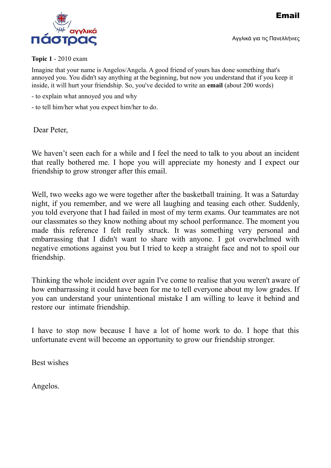Email





#### **Topic 1** - 2010 exam

Imagine that your name is Angelos/Angela. A good friend of yours has done something that's annoyed you. You didn't say anything at the beginning, but now you understand that if you keep it inside, it will hurt your friendship. So, you've decided to write an **email** (about 200 words)

- to explain what annoyed you and why
- to tell him/her what you expect him/her to do.

Dear Peter,

We haven't seen each for a while and I feel the need to talk to you about an incident that really bothered me. I hope you will appreciate my honesty and I expect our friendship to grow stronger after this email.

Well, two weeks ago we were together after the basketball training. It was a Saturday night, if you remember, and we were all laughing and teasing each other. Suddenly, you told everyone that I had failed in most of my term exams. Our teammates are not our classmates so they know nothing about my school performance. The moment you made this reference I felt really struck. It was something very personal and embarrassing that I didn't want to share with anyone. I got overwhelmed with negative emotions against you but I tried to keep a straight face and not to spoil our friendship.

Thinking the whole incident over again I've come to realise that you weren't aware of how embarrassing it could have been for me to tell everyone about my low grades. If you can understand your unintentional mistake I am willing to leave it behind and restore our intimate friendship.

I have to stop now because I have a lot of home work to do. I hope that this unfortunate event will become an opportunity to grow our friendship stronger.

Best wishes

Angelos.